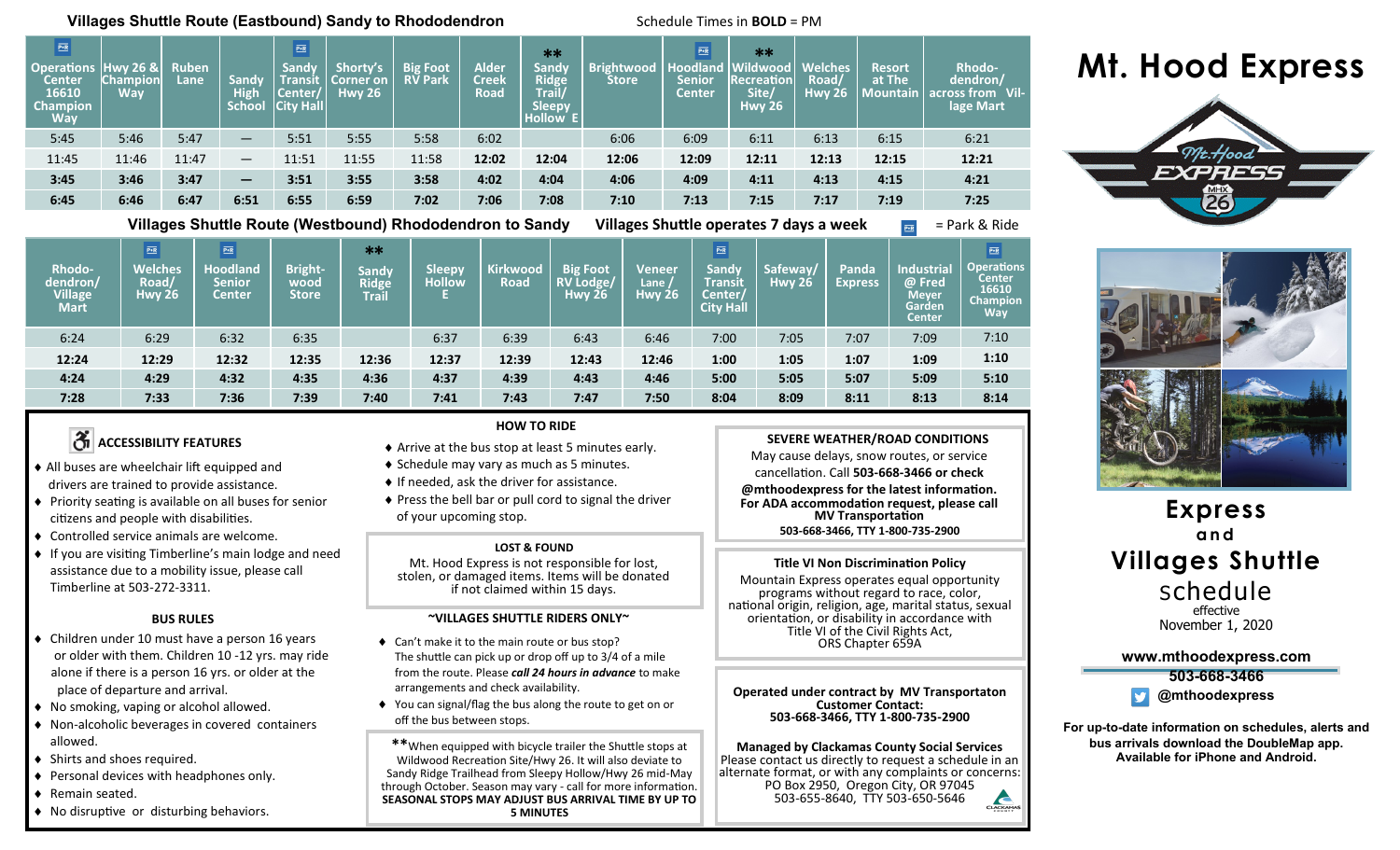### **Villages Shuttle Route (Eastbound) Sandy to Rhododendron <b>Schedule Times in BOLD** = PM

| $\boxed{\text{PR}}$<br><b>Operations Hwy 26 &amp;</b><br><b>Center</b><br>16610<br><b>Champion</b><br><b>Way</b> | <b>Champion</b><br>Wav | <b>Ruben</b><br>Lane | Sandy<br>High<br>School | $\boxed{\frac{\overline{\text{P-R}}}{}}$<br>Sandy<br><b>Transit</b><br>Center/<br><b>City Hall</b> | Shorty's<br>'Corner on<br><b>Hwy 26</b> | <b>Big Foot</b><br><b>RV Park</b> | <b>Alder</b><br><b>Creek</b><br><b>Road</b> | **<br><b>Sandy</b><br><b>Ridge</b><br>Trail/<br><b>Sleepy</b><br>Hollow E | <b>Brightwood</b><br><b>Store</b> | $\overline{P+R}$<br><b>Hoodland</b><br><b>Senior</b><br><b>Center</b> | $**$<br><b>Wildwood</b><br><b>Recreation</b><br>Site/<br><b>Hwy 26</b> | <b>Welches</b><br>Road/<br><b>Hwy 26</b> | <b>Resort</b><br>at The<br>  Mountain | <b>Rhodo-</b><br>dendron/<br>across from Vil-<br>lage Mart |
|------------------------------------------------------------------------------------------------------------------|------------------------|----------------------|-------------------------|----------------------------------------------------------------------------------------------------|-----------------------------------------|-----------------------------------|---------------------------------------------|---------------------------------------------------------------------------|-----------------------------------|-----------------------------------------------------------------------|------------------------------------------------------------------------|------------------------------------------|---------------------------------------|------------------------------------------------------------|
| 5:45                                                                                                             | 5:46                   | 5:47                 | $\qquad \qquad -$       | 5:51                                                                                               | 5:55                                    | 5:58                              | 6:02                                        |                                                                           | 6:06                              | 6:09                                                                  | 6:11                                                                   | 6:13                                     | 6:15                                  | 6:21                                                       |
| 11:45                                                                                                            | 11:46                  | 11:47                | $\qquad \qquad -$       | 11:51                                                                                              | 11:55                                   | 11:58                             | 12:02                                       | 12:04                                                                     | 12:06                             | 12:09                                                                 | 12:11                                                                  | 12:13                                    | 12:15                                 | 12:21                                                      |
| 3:45                                                                                                             | 3:46                   | 3:47                 | —                       | 3:51                                                                                               | 3:55                                    | 3:58                              | 4:02                                        | 4:04                                                                      | 4:06                              | 4:09                                                                  | 4:11                                                                   | 4:13                                     | 4:15                                  | 4:21                                                       |
| 6:45                                                                                                             | 6:46                   | 6:47                 | 6:51                    | 6:55                                                                                               | 6:59                                    | 7:02                              | 7:06                                        | 7:08                                                                      | 7:10                              | 7:13                                                                  | 7:15                                                                   | 7:17                                     | 7:19                                  | 7:25                                                       |
|                                                                                                                  | - ----                 |                      |                         |                                                                                                    |                                         |                                   |                                             |                                                                           | .                                 |                                                                       |                                                                        |                                          |                                       |                                                            |

**Villages Shuttle Route (Westbound) Rhododendron to Sandy Villages Shuttle operates 7 days a week** = Park & Ride

| Rhodo-<br>dendron/<br><b>Village</b><br><b>Mart</b> | $\overline{\text{P-R}}$<br><b>Welches</b><br>Road/<br><b>Hwy 26</b> | $\overline{\text{P+R}}$<br><b>Hoodland</b><br><b>Senior</b><br><b>Center</b> | <b>Bright-</b><br>wood<br>Store | $**$<br><b>Sandy</b><br><b>Ridge</b><br><b>Trail</b> | <b>Sleepy</b><br><b>Hollow</b> | Kirkwood<br><b>Road</b> | <b>Big Foot</b><br><b>RV Lodge/</b><br>Hwy $26$ | Veneer<br>Lane<br><b>Hwy 26</b> | $\frac{p_{\pm R}}{n}$<br>Sandy<br><b>Transit</b><br>Center/<br><b>City Hall</b> | Safeway/<br><b>Hwy 26</b> | Panda<br><b>Express</b> | <b>Industrial</b><br>@ Fred<br><b>Meyer</b><br><b>Garden</b><br><b>Center</b> | $\frac{P+R}{P}$<br><b>Operations</b><br><b>Center</b><br>16610<br><b>Champion</b><br>Way |
|-----------------------------------------------------|---------------------------------------------------------------------|------------------------------------------------------------------------------|---------------------------------|------------------------------------------------------|--------------------------------|-------------------------|-------------------------------------------------|---------------------------------|---------------------------------------------------------------------------------|---------------------------|-------------------------|-------------------------------------------------------------------------------|------------------------------------------------------------------------------------------|
| 6:24                                                | 6:29                                                                | 6:32                                                                         | 6:35                            |                                                      | 6:37                           | 6:39                    | 6:43                                            | 6:46                            | 7:00                                                                            | 7:05                      | 7:07                    | 7:09                                                                          | 7:10                                                                                     |
| 12:24                                               | 12:29                                                               | 12:32                                                                        | 12:35                           | 12:36                                                | 12:37                          | 12:39                   | 12:43                                           | 12:46                           | 1:00                                                                            | 1:05                      | 1:07                    | 1:09                                                                          | 1:10                                                                                     |
| 4:24                                                | 4:29                                                                | 4:32                                                                         | 4:35                            | 4:36                                                 | 4:37                           | 4:39                    | 4:43                                            | 4:46                            | 5:00                                                                            | 5:05                      | 5:07                    | 5:09                                                                          | 5:10                                                                                     |
| 7:28                                                | 7:33                                                                | 7:36                                                                         | 7:39                            | 7:40                                                 | 7:41                           | 7:43                    | 7:47                                            | 7:50                            | 8:04                                                                            | 8:09                      | 8:11                    | 8:13                                                                          | 8:14                                                                                     |

## *A* ACCESSIBILITY FEATURES

- All buses are wheelchair lift equipped and drivers are trained to provide assistance.
- Priority seating is available on all buses for senior citizens and people with disabilities.
- Controlled service animals are welcome.
- ♦ If you are visiting Timberline's main lodge and need assistance due to a mobility issue, please call Timberline at 503-272-3311.

#### **BUS RULES**

- Children under 10 must have a person 16 years or older with them. Children 10 -12 yrs. may ride alone if there is a person 16 yrs. or older at the place of departure and arrival.
- No smoking, vaping or alcohol allowed.
- Non-alcoholic beverages in covered containers allowed.
- ◆ Shirts and shoes required.
- ◆ Personal devices with headphones only.
- ◆ Remain seated.
- No disruptive or disturbing behaviors.

#### **HOW TO RIDE**

- Arrive at the bus stop at least 5 minutes early.
- ◆ Schedule may vary as much as 5 minutes.
- $\bullet$  If needed, ask the driver for assistance.
- $\triangle$  Press the bell bar or pull cord to signal the driver of your upcoming stop.

#### **LOST & FOUND**

Mt. Hood Express is not responsible for lost, stolen, or damaged items. Items will be donated if not claimed within 15 days.

#### **~VILLAGES SHUTTLE RIDERS ONLY~**

- ◆ Can't make it to the main route or bus stop? The shuttle can pick up or drop off up to 3/4 of a mile from the route. Please *call 24 hours in advance* to make arrangements and check availability.
- You can signal/flag the bus along the route to get on or off the bus between stops.

**\*\***When equipped with bicycle trailer the Shuttle stops at Wildwood Recreation Site/Hwy 26. It will also deviate to Sandy Ridge Trailhead from Sleepy Hollow/Hwy 26 mid-May through October. Season may vary - call for more information. **SEASONAL STOPS MAY ADJUST BUS ARRIVAL TIME BY UP TO 5 MINUTES**

# **Mt. Hood Express**





**Express and Villages Shuttle** Schedule effective November 1, 2020

**www.mthoodexpress.com**

**503-668-3466 @mthoodexpress**

**For up-to-date information on schedules, alerts and bus arrivals download the DoubleMap app. Available for iPhone and Android.**

**SEVERE WEATHER/ROAD CONDITIONS** May cause delays, snow routes, or service cancellation. Call **503-668-3466 or check @mthoodexpress for the latest information. For ADA accommodation request, please call MV Transportation 503-668-3466, TTY 1-800-735-2900**

## **Title VI Non Discrimination Policy**

Mountain Express operates equal opportunity programs without regard to race, color, national origin, religion, age, marital status, sexual orientation, or disability in accordance with Title VI of the Civil Rights Act, ORS Chapter 659A

**Operated under contract by MV Transportaton Customer Contact: 503-668-3466, TTY 1-800-735-2900**

**Managed by Clackamas County Social Services** Frease contact as allectly to request a schedule in allemate format, or with any complaints or concerns: Email: someone@exple.com PO Box 2950, Oregon City, OR 97045 Please contact us directly to request a schedule in an

503-655-8640, TTY 503-650-5646